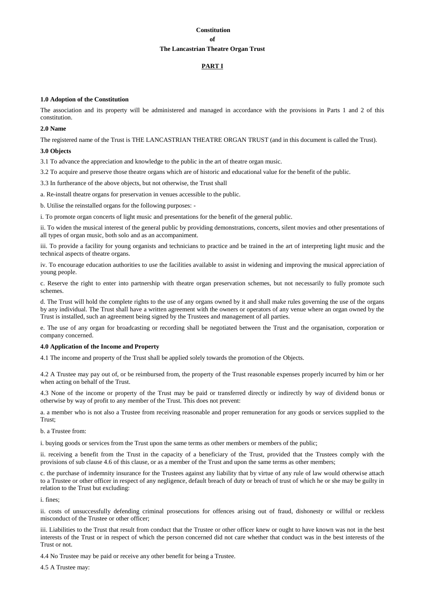# **Constitution of The Lancastrian Theatre Organ Trust**

# **PART I**

# **1.0 Adoption of the Constitution**

The association and its property will be administered and managed in accordance with the provisions in Parts 1 and 2 of this constitution.

# **2.0 Name**

The registered name of the Trust is THE LANCASTRIAN THEATRE ORGAN TRUST (and in this document is called the Trust).

## **3.0 Objects**

3.1 To advance the appreciation and knowledge to the public in the art of theatre organ music.

3.2 To acquire and preserve those theatre organs which are of historic and educational value for the benefit of the public.

3.3 In furtherance of the above objects, but not otherwise, the Trust shall

a. Re-install theatre organs for preservation in venues accessible to the public.

b. Utilise the reinstalled organs for the following purposes: -

i. To promote organ concerts of light music and presentations for the benefit of the general public.

ii. To widen the musical interest of the general public by providing demonstrations, concerts, silent movies and other presentations of all types of organ music, both solo and as an accompaniment.

iii. To provide a facility for young organists and technicians to practice and be trained in the art of interpreting light music and the technical aspects of theatre organs.

iv. To encourage education authorities to use the facilities available to assist in widening and improving the musical appreciation of young people.

c. Reserve the right to enter into partnership with theatre organ preservation schemes, but not necessarily to fully promote such schemes.

d. The Trust will hold the complete rights to the use of any organs owned by it and shall make rules governing the use of the organs by any individual. The Trust shall have a written agreement with the owners or operators of any venue where an organ owned by the Trust is installed, such an agreement being signed by the Trustees and management of all parties.

e. The use of any organ for broadcasting or recording shall be negotiated between the Trust and the organisation, corporation or company concerned.

# **4.0 Application of the Income and Property**

4.1 The income and property of the Trust shall be applied solely towards the promotion of the Objects.

4.2 A Trustee may pay out of, or be reimbursed from, the property of the Trust reasonable expenses properly incurred by him or her when acting on behalf of the Trust.

4.3 None of the income or property of the Trust may be paid or transferred directly or indirectly by way of dividend bonus or otherwise by way of profit to any member of the Trust. This does not prevent:

a. a member who is not also a Trustee from receiving reasonable and proper remuneration for any goods or services supplied to the Trust;

#### b. a Trustee from:

i. buying goods or services from the Trust upon the same terms as other members or members of the public;

ii. receiving a benefit from the Trust in the capacity of a beneficiary of the Trust, provided that the Trustees comply with the provisions of sub clause 4.6 of this clause, or as a member of the Trust and upon the same terms as other members;

c. the purchase of indemnity insurance for the Trustees against any liability that by virtue of any rule of law would otherwise attach to a Trustee or other officer in respect of any negligence, default breach of duty or breach of trust of which he or she may be guilty in relation to the Trust but excluding:

i. fines;

ii. costs of unsuccessfully defending criminal prosecutions for offences arising out of fraud, dishonesty or willful or reckless misconduct of the Trustee or other officer;

iii. Liabilities to the Trust that result from conduct that the Trustee or other officer knew or ought to have known was not in the best interests of the Trust or in respect of which the person concerned did not care whether that conduct was in the best interests of the Trust or not.

4.4 No Trustee may be paid or receive any other benefit for being a Trustee.

4.5 A Trustee may: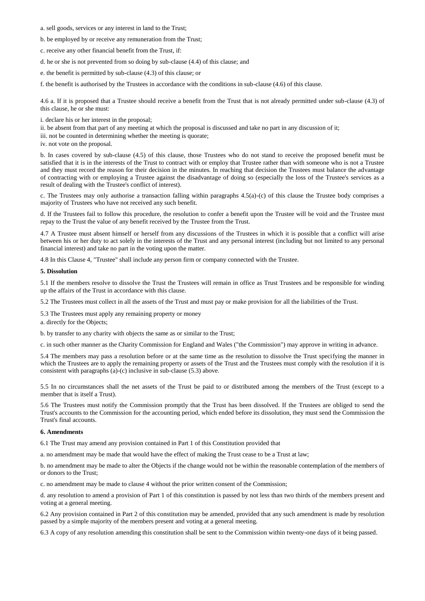- a. sell goods, services or any interest in land to the Trust;
- b. be employed by or receive any remuneration from the Trust;
- c. receive any other financial benefit from the Trust, if:
- d. he or she is not prevented from so doing by sub-clause (4.4) of this clause; and
- e. the benefit is permitted by sub-clause (4.3) of this clause; or

f. the benefit is authorised by the Trustees in accordance with the conditions in sub-clause (4.6) of this clause.

4.6 a. If it is proposed that a Trustee should receive a benefit from the Trust that is not already permitted under sub-clause (4.3) of this clause, he or she must:

i. declare his or her interest in the proposal;

ii. be absent from that part of any meeting at which the proposal is discussed and take no part in any discussion of it;

iii. not be counted in determining whether the meeting is quorate;

iv. not vote on the proposal.

b. In cases covered by sub-clause (4.5) of this clause, those Trustees who do not stand to receive the proposed benefit must be satisfied that it is in the interests of the Trust to contract with or employ that Trustee rather than with someone who is not a Trustee and they must record the reason for their decision in the minutes. In reaching that decision the Trustees must balance the advantage of contracting with or employing a Trustee against the disadvantage of doing so (especially the loss of the Trustee's services as a result of dealing with the Trustee's conflict of interest).

c. The Trustees may only authorise a transaction falling within paragraphs 4.5(a)-(c) of this clause the Trustee body comprises a majority of Trustees who have not received any such benefit.

d. If the Trustees fail to follow this procedure, the resolution to confer a benefit upon the Trustee will be void and the Trustee must repay to the Trust the value of any benefit received by the Trustee from the Trust.

4.7 A Trustee must absent himself or herself from any discussions of the Trustees in which it is possible that a conflict will arise between his or her duty to act solely in the interests of the Trust and any personal interest (including but not limited to any personal financial interest) and take no part in the voting upon the matter.

4.8 In this Clause 4, "Trustee" shall include any person firm or company connected with the Trustee.

### **5. Dissolution**

5.1 If the members resolve to dissolve the Trust the Trustees will remain in office as Trust Trustees and be responsible for winding up the affairs of the Trust in accordance with this clause.

5.2 The Trustees must collect in all the assets of the Trust and must pay or make provision for all the liabilities of the Trust.

5.3 The Trustees must apply any remaining property or money

a. directly for the Objects;

b. by transfer to any charity with objects the same as or similar to the Trust;

c. in such other manner as the Charity Commission for England and Wales ("the Commission") may approve in writing in advance.

5.4 The members may pass a resolution before or at the same time as the resolution to dissolve the Trust specifying the manner in which the Trustees are to apply the remaining property or assets of the Trust and the Trustees must comply with the resolution if it is consistent with paragraphs (a)-(c) inclusive in sub-clause (5.3) above.

5.5 In no circumstances shall the net assets of the Trust be paid to or distributed among the members of the Trust (except to a member that is itself a Trust).

5.6 The Trustees must notify the Commission promptly that the Trust has been dissolved. If the Trustees are obliged to send the Trust's accounts to the Commission for the accounting period, which ended before its dissolution, they must send the Commission the Trust's final accounts.

#### **6. Amendments**

6.1 The Trust may amend any provision contained in Part 1 of this Constitution provided that

a. no amendment may be made that would have the effect of making the Trust cease to be a Trust at law;

b. no amendment may be made to alter the Objects if the change would not be within the reasonable contemplation of the members of or donors to the Trust;

c. no amendment may be made to clause 4 without the prior written consent of the Commission;

d. any resolution to amend a provision of Part 1 of this constitution is passed by not less than two thirds of the members present and voting at a general meeting.

6.2 Any provision contained in Part 2 of this constitution may be amended, provided that any such amendment is made by resolution passed by a simple majority of the members present and voting at a general meeting.

6.3 A copy of any resolution amending this constitution shall be sent to the Commission within twenty-one days of it being passed.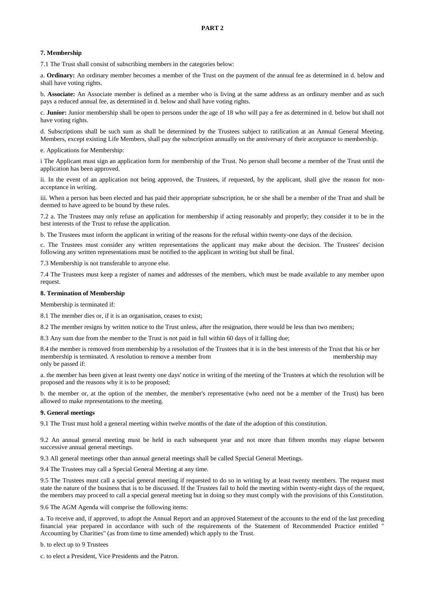# **7. Membership**

7.1 The Trust shall consist of subscribing members in the categories below:

a. **Ordinary:** An ordinary member becomes a member of the Trust on the payment of the annual fee as determined in d. below and shall have voting rights.

b. **Associate:** An Associate member is defined as a member who is living at the same address as an ordinary member and as such pays a reduced annual fee, as determined in d. below and shall have voting rights.

c. **Junior:** Junior membership shall be open to persons under the age of 18 who will pay a fee as determined in d. below but shall not have voting rights.

d. Subscriptions shall be such sum as shall be determined by the Trustees subject to ratification at an Annual General Meeting. Members, except existing Life Members, shall pay the subscription annually on the anniversary of their acceptance to membership.

#### e. Applications for Membership:

i The Applicant must sign an application form for membership of the Trust. No person shall become a member of the Trust until the application has been approved.

ii. In the event of an application not being approved, the Trustees, if requested, by the applicant, shall give the reason for nonacceptance in writing.

iii. When a person has been elected and has paid their appropriate subscription, he or she shall be a member of the Trust and shall be deemed to have agreed to be bound by these rules.

7.2 a. The Trustees may only refuse an application for membership if acting reasonably and properly; they consider it to be in the best interests of the Trust to refuse the application.

b. The Trustees must inform the applicant in writing of the reasons for the refusal within twenty-one days of the decision.

c. The Trustees must consider any written representations the applicant may make about the decision. The Trustees' decision following any written representations must be notified to the applicant in writing but shall be final.

7.3 Membership is not transferable to anyone else.

7.4 The Trustees must keep a register of names and addresses of the members, which must be made available to any member upon request.

# **8. Termination of Membership**

Membership is terminated if:

8.1 The member dies or, if it is an organisation, ceases to exist;

8.2 The member resigns by written notice to the Trust unless, after the resignation, there would be less than two members;

8.3 Any sum due from the member to the Trust is not paid in full within 60 days of it falling due;

8.4 the member is removed from membership by a resolution of the Trustees that it is in the best interests of the Trust that his or her membership is terminated. A resolution to remove a member from member from membership may only be passed if:

a. the member has been given at least twenty one days' notice in writing of the meeting of the Trustees at which the resolution will be proposed and the reasons why it is to be proposed;

b. the member or, at the option of the member, the member's representative (who need not be a member of the Trust) has been allowed to make representations to the meeting.

#### **9. General meetings**

9.1 The Trust must hold a general meeting within twelve months of the date of the adoption of this constitution.

9.2 An annual general meeting must be held in each subsequent year and not more than fifteen months may elapse between successive annual general meetings.

9.3 All general meetings other than annual general meetings shall be called Special General Meetings.

9.4 The Trustees may call a Special General Meeting at any time.

9.5 The Trustees must call a special general meeting if requested to do so in writing by at least twenty members. The request must state the nature of the business that is to be discussed. If the Trustees fail to hold the meeting within twenty-eight days of the request, the members may proceed to call a special general meeting but in doing so they must comply with the provisions of this Constitution.

9.6 The AGM Agenda will comprise the following items:

a. To receive and, if approved, to adopt the Annual Report and an approved Statement of the accounts to the end of the last preceding financial year prepared in accordance with such of the requirements of the Statement of Recommended Practice entitled " Accounting by Charities" (as from time to time amended) which apply to the Trust.

b. to elect up to 9 Trustees

c. to elect a President, Vice Presidents and the Patron.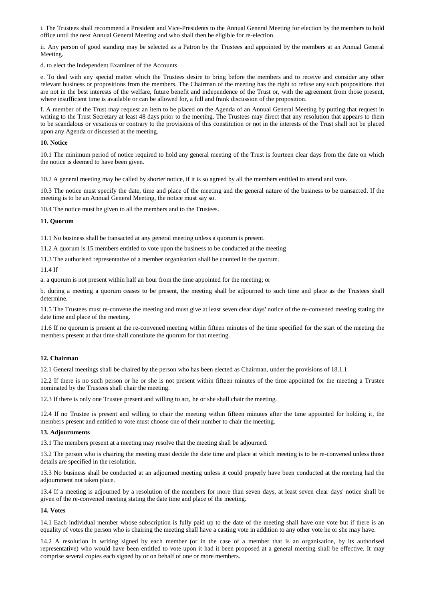i. The Trustees shall recommend a President and Vice-Presidents to the Annual General Meeting for election by the members to hold office until the next Annual General Meeting and who shall then be eligible for re-election.

ii. Any person of good standing may be selected as a Patron by the Trustees and appointed by the members at an Annual General Meeting.

d. to elect the Independent Examiner of the Accounts

e. To deal with any special matter which the Trustees desire to bring before the members and to receive and consider any other relevant business or propositions from the members. The Chairman of the meeting has the right to refuse any such propositions that are not in the best interests of the welfare, future benefit and independence of the Trust or, with the agreement from those present, where insufficient time is available or can be allowed for, a full and frank discussion of the proposition.

f. A member of the Trust may request an item to be placed on the Agenda of an Annual General Meeting by putting that request in writing to the Trust Secretary at least 48 days prior to the meeting. The Trustees may direct that any resolution that appears to them to be scandalous or vexatious or contrary to the provisions of this constitution or not in the interests of the Trust shall not be placed upon any Agenda or discussed at the meeting.

#### **10. Notice**

10.1 The minimum period of notice required to hold any general meeting of the Trust is fourteen clear days from the date on which the notice is deemed to have been given.

10.2 A general meeting may be called by shorter notice, if it is so agreed by all the members entitled to attend and vote.

10.3 The notice must specify the date, time and place of the meeting and the general nature of the business to be transacted. If the meeting is to be an Annual General Meeting, the notice must say so.

10.4 The notice must be given to all the members and to the Trustees.

# **11. Quorum**

11.1 No business shall be transacted at any general meeting unless a quorum is present.

11.2 A quorum is 15 members entitled to vote upon the business to be conducted at the meeting

11.3 The authorised representative of a member organisation shall be counted in the quorum.

11.4 If

a. a quorum is not present within half an hour from the time appointed for the meeting; or

b. during a meeting a quorum ceases to be present, the meeting shall be adjourned to such time and place as the Trustees shall determine.

11.5 The Trustees must re-convene the meeting and must give at least seven clear days' notice of the re-convened meeting stating the date time and place of the meeting.

11.6 If no quorum is present at the re-convened meeting within fifteen minutes of the time specified for the start of the meeting the members present at that time shall constitute the quorum for that meeting.

# **12. Chairman**

12.1 General meetings shall be chaired by the person who has been elected as Chairman, under the provisions of 18.1.1

12.2 If there is no such person or he or she is not present within fifteen minutes of the time appointed for the meeting a Trustee nominated by the Trustees shall chair the meeting.

12.3 If there is only one Trustee present and willing to act, he or she shall chair the meeting.

12.4 If no Trustee is present and willing to chair the meeting within fifteen minutes after the time appointed for holding it, the members present and entitled to vote must choose one of their number to chair the meeting.

#### **13. Adjournments**

13.1 The members present at a meeting may resolve that the meeting shall be adjourned.

13.2 The person who is chairing the meeting must decide the date time and place at which meeting is to be re-convened unless those details are specified in the resolution.

13.3 No business shall be conducted at an adjourned meeting unless it could properly have been conducted at the meeting had the adjournment not taken place.

13.4 If a meeting is adjourned by a resolution of the members for more than seven days, at least seven clear days' notice shall be given of the re-convened meeting stating the date time and place of the meeting.

#### **14. Votes**

14.1 Each individual member whose subscription is fully paid up to the date of the meeting shall have one vote but if there is an equality of votes the person who is chairing the meeting shall have a casting vote in addition to any other vote he or she may have.

14.2 A resolution in writing signed by each member (or in the case of a member that is an organisation, by its authorised representative) who would have been entitled to vote upon it had it been proposed at a general meeting shall be effective. It may comprise several copies each signed by or on behalf of one or more members.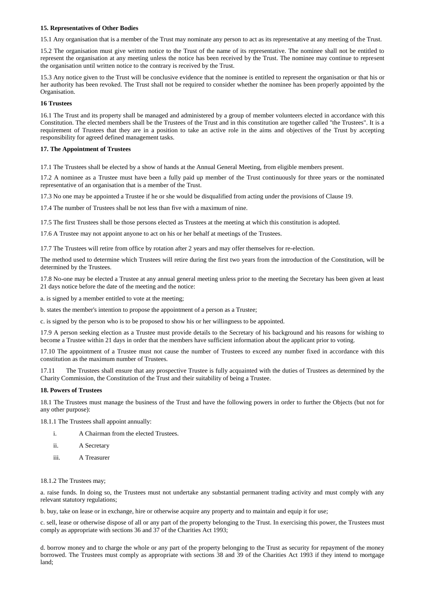### **15. Representatives of Other Bodies**

15.1 Any organisation that is a member of the Trust may nominate any person to act as its representative at any meeting of the Trust.

15.2 The organisation must give written notice to the Trust of the name of its representative. The nominee shall not be entitled to represent the organisation at any meeting unless the notice has been received by the Trust. The nominee may continue to represent the organisation until written notice to the contrary is received by the Trust.

15.3 Any notice given to the Trust will be conclusive evidence that the nominee is entitled to represent the organisation or that his or her authority has been revoked. The Trust shall not be required to consider whether the nominee has been properly appointed by the Organisation.

## **16 Trustees**

16.1 The Trust and its property shall be managed and administered by a group of member volunteers elected in accordance with this Constitution. The elected members shall be the Trustees of the Trust and in this constitution are together called "the Trustees". It is a requirement of Trustees that they are in a position to take an active role in the aims and objectives of the Trust by accepting responsibility for agreed defined management tasks.

# **17. The Appointment of Trustees**

17.1 The Trustees shall be elected by a show of hands at the Annual General Meeting, from eligible members present.

17.2 A nominee as a Trustee must have been a fully paid up member of the Trust continuously for three years or the nominated representative of an organisation that is a member of the Trust.

17.3 No one may be appointed a Trustee if he or she would be disqualified from acting under the provisions of Clause 19.

17.4 The number of Trustees shall be not less than five with a maximum of nine.

17.5 The first Trustees shall be those persons elected as Trustees at the meeting at which this constitution is adopted.

17.6 A Trustee may not appoint anyone to act on his or her behalf at meetings of the Trustees.

17.7 The Trustees will retire from office by rotation after 2 years and may offer themselves for re-election.

The method used to determine which Trustees will retire during the first two years from the introduction of the Constitution, will be determined by the Trustees.

17.8 No-one may be elected a Trustee at any annual general meeting unless prior to the meeting the Secretary has been given at least 21 days notice before the date of the meeting and the notice:

a. is signed by a member entitled to vote at the meeting;

b. states the member's intention to propose the appointment of a person as a Trustee;

c. is signed by the person who is to be proposed to show his or her willingness to be appointed.

17.9 A person seeking election as a Trustee must provide details to the Secretary of his background and his reasons for wishing to become a Trustee within 21 days in order that the members have sufficient information about the applicant prior to voting.

17.10 The appointment of a Trustee must not cause the number of Trustees to exceed any number fixed in accordance with this constitution as the maximum number of Trustees.

17.11 The Trustees shall ensure that any prospective Trustee is fully acquainted with the duties of Trustees as determined by the Charity Commission, the Constitution of the Trust and their suitability of being a Trustee.

#### **18. Powers of Trustees**

18.1 The Trustees must manage the business of the Trust and have the following powers in order to further the Objects (but not for any other purpose):

18.1.1 The Trustees shall appoint annually:

- i. A Chairman from the elected Trustees.
- ii. A Secretary
- iii. A Treasurer

# 18.1.2 The Trustees may;

a. raise funds. In doing so, the Trustees must not undertake any substantial permanent trading activity and must comply with any relevant statutory regulations;

b. buy, take on lease or in exchange, hire or otherwise acquire any property and to maintain and equip it for use;

c. sell, lease or otherwise dispose of all or any part of the property belonging to the Trust. In exercising this power, the Trustees must comply as appropriate with sections 36 and 37 of the Charities Act 1993;

d. borrow money and to charge the whole or any part of the property belonging to the Trust as security for repayment of the money borrowed. The Trustees must comply as appropriate with sections 38 and 39 of the Charities Act 1993 if they intend to mortgage land;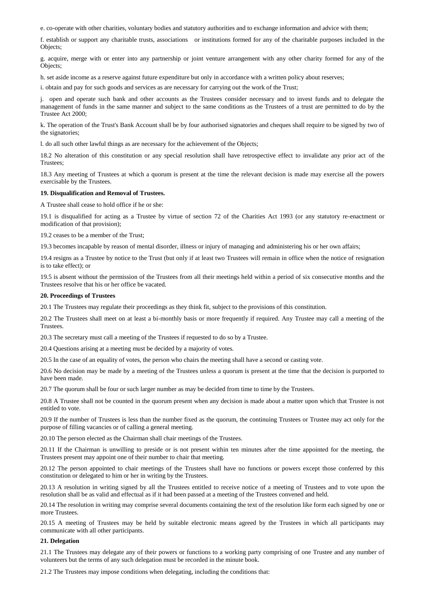e. co-operate with other charities, voluntary bodies and statutory authorities and to exchange information and advice with them;

f. establish or support any charitable trusts, associations or institutions formed for any of the charitable purposes included in the Objects;

g. acquire, merge with or enter into any partnership or joint venture arrangement with any other charity formed for any of the Objects;

h. set aside income as a reserve against future expenditure but only in accordance with a written policy about reserves;

i. obtain and pay for such goods and services as are necessary for carrying out the work of the Trust;

j. open and operate such bank and other accounts as the Trustees consider necessary and to invest funds and to delegate the management of funds in the same manner and subject to the same conditions as the Trustees of a trust are permitted to do by the Trustee Act 2000;

k. The operation of the Trust's Bank Account shall be by four authorised signatories and cheques shall require to be signed by two of the signatories;

l. do all such other lawful things as are necessary for the achievement of the Objects;

18.2 No alteration of this constitution or any special resolution shall have retrospective effect to invalidate any prior act of the Trustees;

18.3 Any meeting of Trustees at which a quorum is present at the time the relevant decision is made may exercise all the powers exercisable by the Trustees.

### **19. Disqualification and Removal of Trustees.**

A Trustee shall cease to hold office if he or she:

19.1 is disqualified for acting as a Trustee by virtue of section 72 of the Charities Act 1993 (or any statutory re-enactment or modification of that provision);

19.2 ceases to be a member of the Trust;

19.3 becomes incapable by reason of mental disorder, illness or injury of managing and administering his or her own affairs;

19.4 resigns as a Trustee by notice to the Trust (but only if at least two Trustees will remain in office when the notice of resignation is to take effect); or

19.5 is absent without the permission of the Trustees from all their meetings held within a period of six consecutive months and the Trustees resolve that his or her office be vacated.

#### **20. Proceedings of Trustees**

20.1 The Trustees may regulate their proceedings as they think fit, subject to the provisions of this constitution.

20.2 The Trustees shall meet on at least a bi-monthly basis or more frequently if required. Any Trustee may call a meeting of the Trustees.

20.3 The secretary must call a meeting of the Trustees if requested to do so by a Trustee.

20.4 Questions arising at a meeting must be decided by a majority of votes.

20.5 In the case of an equality of votes, the person who chairs the meeting shall have a second or casting vote.

20.6 No decision may be made by a meeting of the Trustees unless a quorum is present at the time that the decision is purported to have been made.

20.7 The quorum shall be four or such larger number as may be decided from time to time by the Trustees.

20.8 A Trustee shall not be counted in the quorum present when any decision is made about a matter upon which that Trustee is not entitled to vote.

20.9 If the number of Trustees is less than the number fixed as the quorum, the continuing Trustees or Trustee may act only for the purpose of filling vacancies or of calling a general meeting.

20.10 The person elected as the Chairman shall chair meetings of the Trustees.

20.11 If the Chairman is unwilling to preside or is not present within ten minutes after the time appointed for the meeting, the Trustees present may appoint one of their number to chair that meeting.

20.12 The person appointed to chair meetings of the Trustees shall have no functions or powers except those conferred by this constitution or delegated to him or her in writing by the Trustees.

20.13 A resolution in writing signed by all the Trustees entitled to receive notice of a meeting of Trustees and to vote upon the resolution shall be as valid and effectual as if it had been passed at a meeting of the Trustees convened and held.

20.14 The resolution in writing may comprise several documents containing the text of the resolution like form each signed by one or more Trustees.

20.15 A meeting of Trustees may be held by suitable electronic means agreed by the Trustees in which all participants may communicate with all other participants.

### **21. Delegation**

21.1 The Trustees may delegate any of their powers or functions to a working party comprising of one Trustee and any number of volunteers but the terms of any such delegation must be recorded in the minute book.

21.2 The Trustees may impose conditions when delegating, including the conditions that: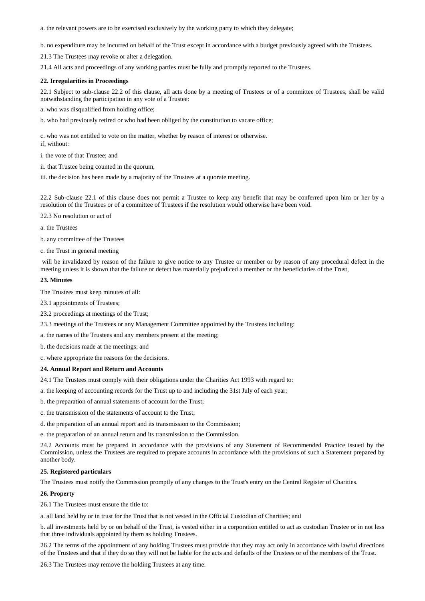a. the relevant powers are to be exercised exclusively by the working party to which they delegate;

b. no expenditure may be incurred on behalf of the Trust except in accordance with a budget previously agreed with the Trustees.

21.3 The Trustees may revoke or alter a delegation.

21.4 All acts and proceedings of any working parties must be fully and promptly reported to the Trustees.

## **22. Irregularities in Proceedings**

22.1 Subject to sub-clause 22.2 of this clause, all acts done by a meeting of Trustees or of a committee of Trustees, shall be valid notwithstanding the participation in any vote of a Trustee:

a. who was disqualified from holding office;

b. who had previously retired or who had been obliged by the constitution to vacate office;

c. who was not entitled to vote on the matter, whether by reason of interest or otherwise. if, without:

i. the vote of that Trustee; and

ii. that Trustee being counted in the quorum,

iii. the decision has been made by a majority of the Trustees at a quorate meeting.

22.2 Sub-clause 22.1 of this clause does not permit a Trustee to keep any benefit that may be conferred upon him or her by a resolution of the Trustees or of a committee of Trustees if the resolution would otherwise have been void.

22.3 No resolution or act of

a. the Trustees

b. any committee of the Trustees

c. the Trust in general meeting

will be invalidated by reason of the failure to give notice to any Trustee or member or by reason of any procedural defect in the meeting unless it is shown that the failure or defect has materially prejudiced a member or the beneficiaries of the Trust,

#### **23. Minutes**

The Trustees must keep minutes of all:

23.1 appointments of Trustees;

23.2 proceedings at meetings of the Trust;

23.3 meetings of the Trustees or any Management Committee appointed by the Trustees including:

a. the names of the Trustees and any members present at the meeting;

b. the decisions made at the meetings; and

c. where appropriate the reasons for the decisions.

#### **24. Annual Report and Return and Accounts**

24.1 The Trustees must comply with their obligations under the Charities Act 1993 with regard to:

a. the keeping of accounting records for the Trust up to and including the 31st July of each year;

b. the preparation of annual statements of account for the Trust;

c. the transmission of the statements of account to the Trust;

d. the preparation of an annual report and its transmission to the Commission;

e. the preparation of an annual return and its transmission to the Commission.

24.2 Accounts must be prepared in accordance with the provisions of any Statement of Recommended Practice issued by the Commission, unless the Trustees are required to prepare accounts in accordance with the provisions of such a Statement prepared by another body.

#### **25. Registered particulars**

The Trustees must notify the Commission promptly of any changes to the Trust's entry on the Central Register of Charities.

#### **26. Property**

26.1 The Trustees must ensure the title to:

a. all land held by or in trust for the Trust that is not vested in the Official Custodian of Charities; and

b. all investments held by or on behalf of the Trust, is vested either in a corporation entitled to act as custodian Trustee or in not less that three individuals appointed by them as holding Trustees.

26.2 The terms of the appointment of any holding Trustees must provide that they may act only in accordance with lawful directions of the Trustees and that if they do so they will not be liable for the acts and defaults of the Trustees or of the members of the Trust.

26.3 The Trustees may remove the holding Trustees at any time.